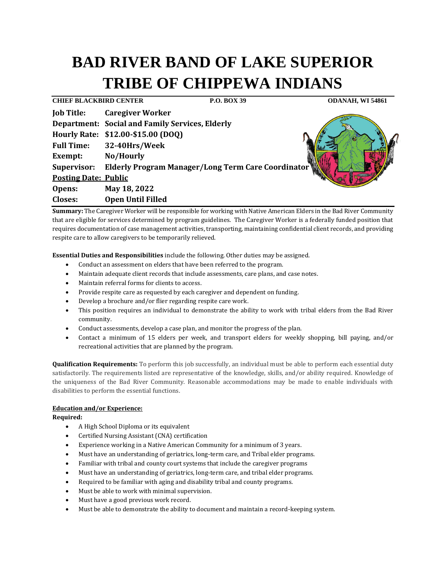# **BAD RIVER BAND OF LAKE SUPERIOR TRIBE OF CHIPPEWA INDIANS**

**CHIEF BLACKBIRD CENTER P.O. BOX 39 ODANAH, WI 54861 Job Title: Caregiver Worker Department: Social and Family Services, Elderly Hourly Rate: \$12.00-\$15.00 (DOQ) Full Time: 32-40Hrs/Week Exempt: No/Hourly Supervisor: Elderly Program Manager/Long Term Care Coordinator Posting Date: Public Opens: May 18, 2022 Closes: Open Until Filled**

**Summary:** The Caregiver Worker will be responsible for working with Native American Elders in the Bad River Community that are eligible for services determined by program guidelines. The Caregiver Worker is a federally funded position that requires documentation of case management activities, transporting, maintaining confidential client records, and providing respite care to allow caregivers to be temporarily relieved.

**Essential Duties and Responsibilities** include the following. Other duties may be assigned.

- Conduct an assessment on elders that have been referred to the program.
- Maintain adequate client records that include assessments, care plans, and case notes.
- Maintain referral forms for clients to access.
- Provide respite care as requested by each caregiver and dependent on funding.
- Develop a brochure and/or flier regarding respite care work.
- This position requires an individual to demonstrate the ability to work with tribal elders from the Bad River community.
- Conduct assessments, develop a case plan, and monitor the progress of the plan.
- Contact a minimum of 15 elders per week, and transport elders for weekly shopping, bill paying, and/or recreational activities that are planned by the program.

**Qualification Requirements:** To perform this job successfully, an individual must be able to perform each essential duty satisfactorily. The requirements listed are representative of the knowledge, skills, and/or ability required. Knowledge of the uniqueness of the Bad River Community. Reasonable accommodations may be made to enable individuals with disabilities to perform the essential functions.

## **Education and/or Experience:**

**Required:**

- A High School Diploma or its equivalent
- Certified Nursing Assistant (CNA) certification
- Experience working in a Native American Community for a minimum of 3 years.
- Must have an understanding of geriatrics, long-term care, and Tribal elder programs.
- Familiar with tribal and county court systems that include the caregiver programs
- Must have an understanding of geriatrics, long-term care, and tribal elder programs.
- Required to be familiar with aging and disability tribal and county programs.
- Must be able to work with minimal supervision.
- Must have a good previous work record.
- Must be able to demonstrate the ability to document and maintain a record-keeping system.